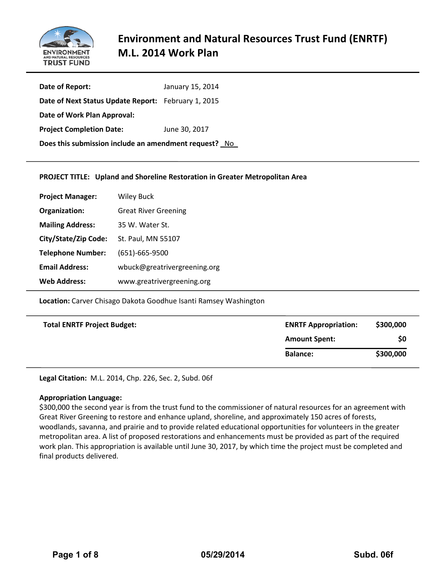

# **Environment and Natural Resources Trust Fund (ENRTF) M.L. 2014 Work Plan**

| Date of Report:                                       | January 15, 2014 |
|-------------------------------------------------------|------------------|
| Date of Next Status Update Report: February 1, 2015   |                  |
| Date of Work Plan Approval:                           |                  |
| <b>Project Completion Date:</b>                       | June 30, 2017    |
| Does this submission include an amendment request? No |                  |

#### **PROJECT TITLE: Upland and Shoreline Restoration in Greater Metropolitan Area**

| <b>Project Manager:</b>  | <b>Wiley Buck</b>            |
|--------------------------|------------------------------|
| Organization:            | <b>Great River Greening</b>  |
| <b>Mailing Address:</b>  | 35 W. Water St.              |
| City/State/Zip Code:     | St. Paul, MN 55107           |
| <b>Telephone Number:</b> | $(651) - 665 - 9500$         |
| <b>Email Address:</b>    | wbuck@greatrivergreening.org |
| <b>Web Address:</b>      | www.greatrivergreening.org   |

**Location:** Carver Chisago Dakota Goodhue Isanti Ramsey Washington

| <b>Total ENRTF Project Budget:</b> | <b>ENRTF Appropriation:</b> | \$300,000 |
|------------------------------------|-----------------------------|-----------|
|                                    | <b>Amount Spent:</b>        | \$0       |
|                                    | <b>Balance:</b>             | \$300,000 |

**Legal Citation:** M.L. 2014, Chp. 226, Sec. 2, Subd. 06f

#### **Appropriation Language:**

\$300,000 the second year is from the trust fund to the commissioner of natural resources for an agreement with Great River Greening to restore and enhance upland, shoreline, and approximately 150 acres of forests, woodlands, savanna, and prairie and to provide related educational opportunities for volunteers in the greater metropolitan area. A list of proposed restorations and enhancements must be provided as part of the required work plan. This appropriation is available until June 30, 2017, by which time the project must be completed and final products delivered.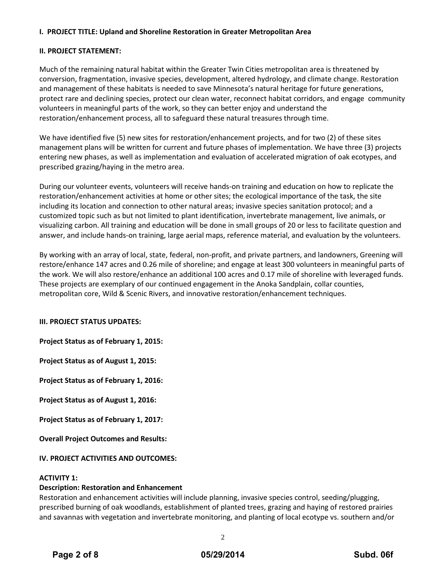# **I. PROJECT TITLE: Upland and Shoreline Restoration in Greater Metropolitan Area**

#### **II. PROJECT STATEMENT:**

Much of the remaining natural habitat within the Greater Twin Cities metropolitan area is threatened by conversion, fragmentation, invasive species, development, altered hydrology, and climate change. Restoration and management of these habitats is needed to save Minnesota's natural heritage for future generations, protect rare and declining species, protect our clean water, reconnect habitat corridors, and engage community volunteers in meaningful parts of the work, so they can better enjoy and understand the restoration/enhancement process, all to safeguard these natural treasures through time.

We have identified five (5) new sites for restoration/enhancement projects, and for two (2) of these sites management plans will be written for current and future phases of implementation. We have three (3) projects entering new phases, as well as implementation and evaluation of accelerated migration of oak ecotypes, and prescribed grazing/haying in the metro area.

During our volunteer events, volunteers will receive hands-on training and education on how to replicate the restoration/enhancement activities at home or other sites; the ecological importance of the task, the site including its location and connection to other natural areas; invasive species sanitation protocol; and a customized topic such as but not limited to plant identification, invertebrate management, live animals, or visualizing carbon. All training and education will be done in small groups of 20 or less to facilitate question and answer, and include hands-on training, large aerial maps, reference material, and evaluation by the volunteers.

By working with an array of local, state, federal, non-profit, and private partners, and landowners, Greening will restore/enhance 147 acres and 0.26 mile of shoreline; and engage at least 300 volunteers in meaningful parts of the work. We will also restore/enhance an additional 100 acres and 0.17 mile of shoreline with leveraged funds. These projects are exemplary of our continued engagement in the Anoka Sandplain, collar counties, metropolitan core, Wild & Scenic Rivers, and innovative restoration/enhancement techniques.

# **III. PROJECT STATUS UPDATES:**

**Project Status as of February 1, 2015:**

**Project Status as of August 1, 2015:**

**Project Status as of February 1, 2016:**

**Project Status as of August 1, 2016:**

**Project Status as of February 1, 2017:**

**Overall Project Outcomes and Results:**

# **IV. PROJECT ACTIVITIES AND OUTCOMES:**

# **ACTIVITY 1:**

# **Description: Restoration and Enhancement**

Restoration and enhancement activities will include planning, invasive species control, seeding/plugging, prescribed burning of oak woodlands, establishment of planted trees, grazing and haying of restored prairies and savannas with vegetation and invertebrate monitoring, and planting of local ecotype vs. southern and/or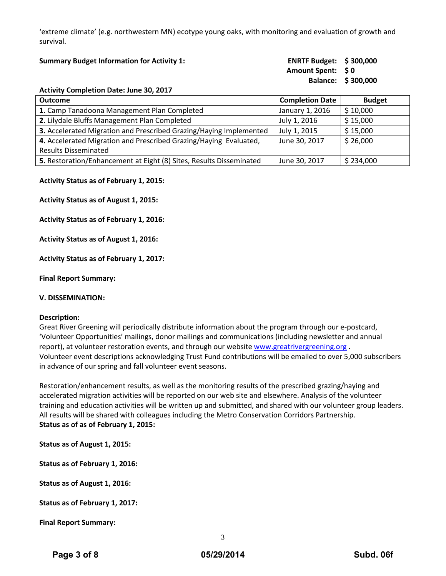'extreme climate' (e.g. northwestern MN) ecotype young oaks, with monitoring and evaluation of growth and survival.

| <b>Summary Budget Information for Activity 1:</b> | <b>ENRTF Budget: \$300,000</b> |                    |
|---------------------------------------------------|--------------------------------|--------------------|
|                                                   | Amount Spent: \$0              |                    |
|                                                   |                                | Balance: \$300,000 |
| <b>Activity Completion Date: June 30 2017</b>     |                                |                    |

| <b>Outcome</b>                                                      | <b>Completion Date</b> | <b>Budget</b> |
|---------------------------------------------------------------------|------------------------|---------------|
| 1. Camp Tanadoona Management Plan Completed                         | January 1, 2016        | \$10,000      |
| 2. Lilydale Bluffs Management Plan Completed                        | July 1, 2016           | \$15,000      |
| 3. Accelerated Migration and Prescribed Grazing/Haying Implemented  | July 1, 2015           | \$15,000      |
| 4. Accelerated Migration and Prescribed Grazing/Haying Evaluated,   | June 30, 2017          | \$26,000      |
| <b>Results Disseminated</b>                                         |                        |               |
| 5. Restoration/Enhancement at Eight (8) Sites, Results Disseminated | June 30, 2017          | \$234,000     |

#### **Activity Status as of February 1, 2015:**

**Activity Status as of August 1, 2015:**

**Activity Status as of February 1, 2016:**

**Activity Status as of August 1, 2016:**

**Activity Status as of February 1, 2017:**

**Final Report Summary:**

#### **V. DISSEMINATION:**

#### **Description:**

Great River Greening will periodically distribute information about the program through our e-postcard, 'Volunteer Opportunities' mailings, donor mailings and communications (including newsletter and annual report), at volunteer restoration events, and through our websit[e www.greatrivergreening.org](http://www.greatrivergreening.org/) . Volunteer event descriptions acknowledging Trust Fund contributions will be emailed to over 5,000 subscribers in advance of our spring and fall volunteer event seasons.

Restoration/enhancement results, as well as the monitoring results of the prescribed grazing/haying and accelerated migration activities will be reported on our web site and elsewhere. Analysis of the volunteer training and education activities will be written up and submitted, and shared with our volunteer group leaders. All results will be shared with colleagues including the Metro Conservation Corridors Partnership. **Status as of as of February 1, 2015:**

**Status as of August 1, 2015:**

**Status as of February 1, 2016:**

**Status as of August 1, 2016:**

**Status as of February 1, 2017:**

**Final Report Summary:**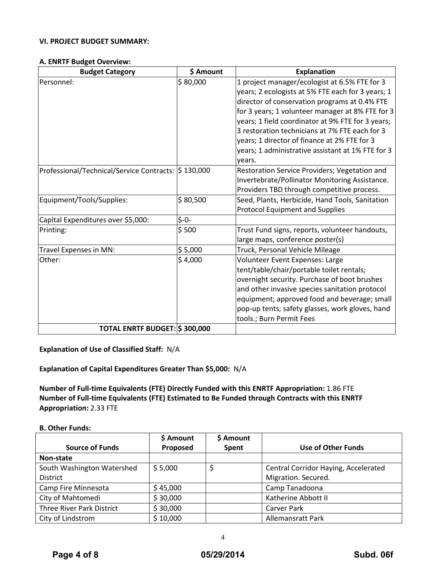# **VI. PROJECT BUDGET SUMMARY:**

#### **A. ENRTF Budget Overview:**

| <b>Budget Category</b>                              | \$ Amount | <b>Explanation</b>                                          |
|-----------------------------------------------------|-----------|-------------------------------------------------------------|
| Personnel:                                          | \$80,000  | 1 project manager/ecologist at 6.5% FTE for 3               |
|                                                     |           | years; 2 ecologists at 5% FTE each for 3 years; 1           |
|                                                     |           | director of conservation programs at 0.4% FTE               |
|                                                     |           | for 3 years; 1 volunteer manager at 8% FTE for 3            |
|                                                     |           | years; 1 field coordinator at 9% FTE for 3 years;           |
|                                                     |           | 3 restoration technicians at 7% FTE each for 3              |
|                                                     |           | years; 1 director of finance at 2% FTE for 3                |
|                                                     |           | years; 1 administrative assistant at 1% FTE for 3<br>vears. |
| Professional/Technical/Service Contracts: \$130,000 |           | Restoration Service Providers; Vegetation and               |
|                                                     |           | Invertebrate/Pollinator Monitoring Assistance.              |
|                                                     |           | Providers TBD through competitive process.                  |
| Equipment/Tools/Supplies:                           | \$80,500  | Seed, Plants, Herbicide, Hand Tools, Sanitation             |
|                                                     |           | <b>Protocol Equipment and Supplies</b>                      |
| Capital Expenditures over \$5,000:                  | $$-0-$    |                                                             |
| Printing:                                           | \$500     | Trust Fund signs, reports, volunteer handouts,              |
|                                                     |           | large maps, conference poster(s)                            |
| Travel Expenses in MN:                              | \$5,000   | Truck, Personal Vehicle Mileage                             |
| Other:                                              | \$4,000   | Volunteer Event Expenses: Large                             |
|                                                     |           | tent/table/chair/portable toilet rentals;                   |
|                                                     |           | overnight security. Purchase of boot brushes                |
|                                                     |           | and other invasive species sanitation protocol              |
|                                                     |           | equipment; approved food and beverage; small                |
|                                                     |           | pop-up tents; safety glasses, work gloves, hand             |
|                                                     |           | tools.; Burn Permit Fees                                    |
| TOTAL ENRTF BUDGET: \$300,000                       |           |                                                             |

**Explanation of Use of Classified Staff:** N/A

**Explanation of Capital Expenditures Greater Than \$5,000:** N/A

**Number of Full-time Equivalents (FTE) Directly Funded with this ENRTF Appropriation:** 1.86 FTE **Number of Full-time Equivalents (FTE) Estimated to Be Funded through Contracts with this ENRTF Appropriation:** 2.33 FTE

#### **B. Other Funds:**

|                            | \$ Amount | \$ Amount |                                      |
|----------------------------|-----------|-----------|--------------------------------------|
| <b>Source of Funds</b>     | Proposed  | Spent     | Use of Other Funds                   |
| Non-state                  |           |           |                                      |
| South Washington Watershed | \$5,000   |           | Central Corridor Haying, Accelerated |
| <b>District</b>            |           |           | Migration. Secured.                  |
| Camp Fire Minnesota        | \$45,000  |           | Camp Tanadoona                       |
| City of Mahtomedi          | \$30,000  |           | Katherine Abbott II                  |
| Three River Park District  | \$30,000  |           | <b>Carver Park</b>                   |
| City of Lindstrom          | \$10,000  |           | <b>Allemansratt Park</b>             |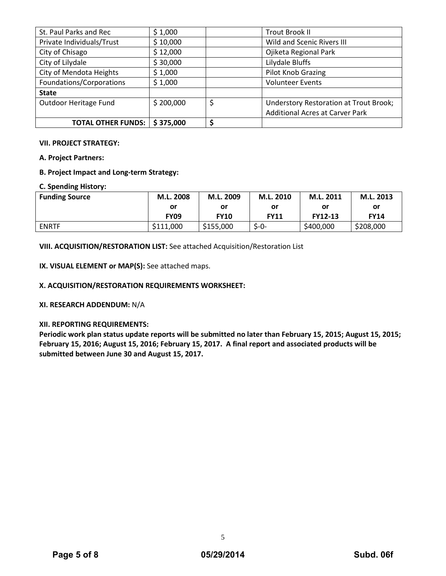| St. Paul Parks and Rec    | \$1,000   | <b>Trout Brook II</b>                  |
|---------------------------|-----------|----------------------------------------|
| Private Individuals/Trust | \$10,000  | Wild and Scenic Rivers III             |
| City of Chisago           | \$12,000  | Ojiketa Regional Park                  |
| City of Lilydale          | \$30,000  | Lilydale Bluffs                        |
| City of Mendota Heights   | \$1,000   | Pilot Knob Grazing                     |
| Foundations/Corporations  | \$1,000   | <b>Volunteer Events</b>                |
| <b>State</b>              |           |                                        |
| Outdoor Heritage Fund     | \$200,000 | Understory Restoration at Trout Brook; |
|                           |           | <b>Additional Acres at Carver Park</b> |
| <b>TOTAL OTHER FUNDS:</b> | \$375,000 | \$                                     |

#### **VII. PROJECT STRATEGY:**

**A. Project Partners:** 

# **B. Project Impact and Long-term Strategy:**

# **C. Spending History:**

| <b>Funding Source</b> | M.L. 2008   | M.L. 2009   | M.L. 2010   | M.L. 2011 | M.L. 2013   |  |
|-----------------------|-------------|-------------|-------------|-----------|-------------|--|
|                       | or          | or          | .or         | or        | or          |  |
|                       | <b>FY09</b> | <b>FY10</b> | <b>FY11</b> | FY12-13   | <b>FY14</b> |  |
| <b>ENRTF</b>          | \$111,000   | \$155,000   | $S - 0 -$   | \$400,000 | \$208,000   |  |

**VIII. ACQUISITION/RESTORATION LIST:** See attached Acquisition/Restoration List

**IX. VISUAL ELEMENT or MAP(S):** See attached maps.

# **X. ACQUISITION/RESTORATION REQUIREMENTS WORKSHEET:**

**XI. RESEARCH ADDENDUM:** N/A

# **XII. REPORTING REQUIREMENTS:**

**Periodic work plan status update reports will be submitted no later than February 15, 2015; August 15, 2015; February 15, 2016; August 15, 2016; February 15, 2017. A final report and associated products will be submitted between June 30 and August 15, 2017.** 

5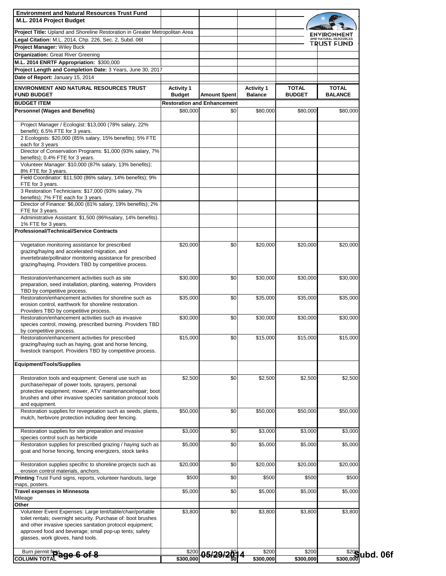| <b>Environment and Natural Resources Trust Fund</b>                                                                 |                                    |                                    |                                     |                               |                                            |          |
|---------------------------------------------------------------------------------------------------------------------|------------------------------------|------------------------------------|-------------------------------------|-------------------------------|--------------------------------------------|----------|
| M.L. 2014 Project Budget                                                                                            |                                    |                                    |                                     |                               |                                            |          |
| <b>Project Title:</b> Upland and Shoreline Restoration in Greater Metropolitan Area                                 |                                    |                                    |                                     |                               | ENVIRONMENT                                |          |
| Legal Citation: M.L. 2014, Chp. 226, Sec. 2, Subd. 06f                                                              |                                    |                                    |                                     |                               | AND NATURAL RESOURCES<br><b>TRUST FUND</b> |          |
| Project Manager: Wiley Buck                                                                                         |                                    |                                    |                                     |                               |                                            |          |
| <b>Organization: Great River Greening</b>                                                                           |                                    |                                    |                                     |                               |                                            |          |
| M.L. 2014 ENRTF Appropriation: \$300,000<br>Project Length and Completion Date: 3 Years, June 30, 2017              |                                    |                                    |                                     |                               |                                            |          |
| Date of Report: January 15, 2014                                                                                    |                                    |                                    |                                     |                               |                                            |          |
|                                                                                                                     |                                    |                                    |                                     |                               |                                            |          |
| <b>ENVIRONMENT AND NATURAL RESOURCES TRUST</b><br><b>FUND BUDGET</b>                                                | <b>Activity 1</b><br><b>Budget</b> | <b>Amount Spent</b>                | <b>Activity 1</b><br><b>Balance</b> | <b>TOTAL</b><br><b>BUDGET</b> | <b>TOTAL</b><br><b>BALANCE</b>             |          |
| <b>BUDGET ITEM</b>                                                                                                  |                                    | <b>Restoration and Enhancement</b> |                                     |                               |                                            |          |
| <b>Personnel (Wages and Benefits)</b>                                                                               | \$80,000                           | \$0                                | \$80,000                            | \$80,000                      | \$80,000                                   |          |
|                                                                                                                     |                                    |                                    |                                     |                               |                                            |          |
| Project Manager / Ecologist: \$13,000 (78% salary, 22%<br>benefit); 6.5% FTE for 3 years.                           |                                    |                                    |                                     |                               |                                            |          |
| 2 Ecologists: \$20,000 (85% salary, 15% benefits); 5% FTE                                                           |                                    |                                    |                                     |                               |                                            |          |
| each for 3 years                                                                                                    |                                    |                                    |                                     |                               |                                            |          |
| Director of Conservation Programs: \$1,000 (93% salary, 7%<br>benefits); 0.4% FTE for 3 years.                      |                                    |                                    |                                     |                               |                                            |          |
| Volunteer Manager: \$10,000 (87% salary, 13% benefits);                                                             |                                    |                                    |                                     |                               |                                            |          |
| 8% FTE for 3 years.<br>Field Coordinator: \$11,500 (86% salary, 14% benefits); 9%                                   |                                    |                                    |                                     |                               |                                            |          |
| FTE for 3 years.                                                                                                    |                                    |                                    |                                     |                               |                                            |          |
| 3 Restoration Technicians: \$17,000 (93% salary, 7%                                                                 |                                    |                                    |                                     |                               |                                            |          |
| benefits); 7% FTE each for 3 years<br>Director of Finance: \$6,000 (81% salary, 19% benefits); 2%                   |                                    |                                    |                                     |                               |                                            |          |
| FTE for 3 years.                                                                                                    |                                    |                                    |                                     |                               |                                            |          |
| Administrative Assistant: \$1,500 (86%salary, 14% benefits).                                                        |                                    |                                    |                                     |                               |                                            |          |
| 1% FTE for 3 years.<br><b>Professional/Technical/Service Contracts</b>                                              |                                    |                                    |                                     |                               |                                            |          |
|                                                                                                                     |                                    |                                    |                                     |                               |                                            |          |
| Vegetation monitoring assistance for prescribed                                                                     | \$20,000                           | \$0                                | \$20,000                            | \$20,000                      | \$20,000                                   |          |
| grazing/haying and accelerated migration, and<br>invertebrate/pollinator monitoring assistance for prescribed       |                                    |                                    |                                     |                               |                                            |          |
| grazing/haying. Providers TBD by competitive process.                                                               |                                    |                                    |                                     |                               |                                            |          |
|                                                                                                                     |                                    |                                    |                                     |                               |                                            |          |
| Restoration/enhancement activities such as site<br>preparation, seed installation, planting, watering. Providers    | \$30,000                           | \$0                                | \$30,000                            | \$30,000                      | \$30,000                                   |          |
| TBD by competitive process.                                                                                         |                                    |                                    |                                     |                               |                                            |          |
| Restoration/enhancement activities for shoreline such as                                                            | \$35,000                           | \$0                                | \$35,000                            | \$35,000                      | \$35,000                                   |          |
| erosion control, earthwork for shoreline restoration.<br>Providers TBD by competitive process.                      |                                    |                                    |                                     |                               |                                            |          |
| Restoration/enhancement activities such as invasive                                                                 | \$30,000                           | \$0                                | \$30,000                            | \$30,000                      | \$30,000                                   |          |
| species control, mowing, prescribed burning. Providers TBD<br>by competitive process.                               |                                    |                                    |                                     |                               |                                            |          |
| Restoration/enhancement activities for prescribed                                                                   | \$15,000                           | \$0                                | \$15,000                            | \$15,000                      | \$15,000                                   |          |
| grazing/haying such as haying, goat and horse fencing,                                                              |                                    |                                    |                                     |                               |                                            |          |
| livestock transport. Providers TBD by competitive process.                                                          |                                    |                                    |                                     |                               |                                            |          |
| Equipment/Tools/Supplies                                                                                            |                                    |                                    |                                     |                               |                                            |          |
|                                                                                                                     |                                    |                                    |                                     |                               |                                            |          |
| Restoration tools and equipment: General use such as<br>purchase/repair of power tools, sprayers, personal          | \$2,500                            | \$0                                | \$2,500                             | \$2,500                       | \$2,500                                    |          |
| protective equipment; mower, ATV maintenance/repair; boot                                                           |                                    |                                    |                                     |                               |                                            |          |
| brushes and other invasive species sanitation protocol tools                                                        |                                    |                                    |                                     |                               |                                            |          |
| and equipment.<br>Restoration supplies for revegetation such as seeds, plants,                                      | \$50,000                           | \$0                                | \$50,000                            | \$50,000                      | \$50,000                                   |          |
| mulch, herbivore protection including deer fencing.                                                                 |                                    |                                    |                                     |                               |                                            |          |
|                                                                                                                     |                                    | \$0                                |                                     | \$3,000                       |                                            |          |
| Restoration supplies for site preparation and invasive<br>species control such as herbicide                         | \$3,000                            |                                    | \$3,000                             |                               | \$3,000                                    |          |
| Restoration supplies for prescribed grazing / haying such as                                                        | \$5,000                            | \$0                                | \$5,000                             | \$5,000                       | \$5,000                                    |          |
| goat and horse fencing, fencing energizers, stock tanks                                                             |                                    |                                    |                                     |                               |                                            |          |
| Restoration supplies specifric to shoreline projects such as                                                        | \$20,000                           | \$0                                | \$20,000                            | \$20,000                      | \$20,000                                   |          |
| erosion control materials, anchors.                                                                                 |                                    |                                    |                                     |                               |                                            |          |
| Printing Trust Fund signs, reports, volunteer handouts, large<br>maps, posters.                                     | \$500                              | \$0                                | \$500                               | \$500                         | \$500                                      |          |
| <b>Travel expenses in Minnesota</b>                                                                                 | \$5,000                            | \$0                                | \$5,000                             | \$5,000                       | \$5,000                                    |          |
| Mileage<br>Other                                                                                                    |                                    |                                    |                                     |                               |                                            |          |
| Volunteer Event Expenses: Large tent/table/chair/portable                                                           | \$3,800                            | \$0                                | \$3,800                             | \$3,800                       | \$3,800                                    |          |
| toilet rentals; overnight security. Purchase of: boot brushes                                                       |                                    |                                    |                                     |                               |                                            |          |
| and other invasive species sanitation protocol equipment;<br>approved food and beverage; small pop-up tents; safety |                                    |                                    |                                     |                               |                                            |          |
| glasses, work gloves, hand tools.                                                                                   |                                    |                                    |                                     |                               |                                            |          |
|                                                                                                                     |                                    |                                    |                                     |                               |                                            |          |
| $\frac{\text{Burn}}{\text{burn}}$ permit fees ago 6 of 8<br><b>COLUMN TOTAL</b>                                     | \$200<br>\$300,000                 | <u>05/29/28</u>                    | \$200<br>\$300,000                  | \$200<br>\$300,000            | \$200<br>\$300,000                         | ubd. 06f |
|                                                                                                                     |                                    |                                    |                                     |                               |                                            |          |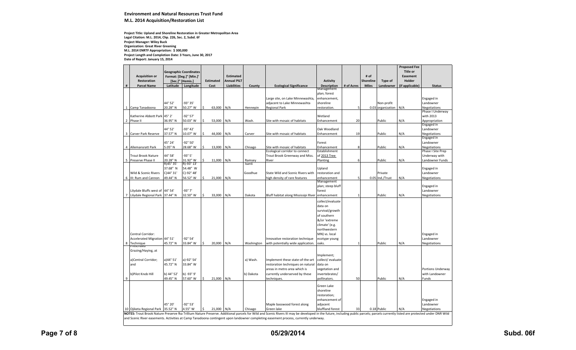#### **Environment and Natural Resources Trust Fund M.L. 2014 Acquisition/Restoration List**

**Project Title: Upland and Shoreline Restoration in Greater Metropolitan Area Legal Citation: M.L. 2014, Chp. 226, Sec. 2, Subd. 6f Date of Report: January 15, 2014 Project Length and Completion Date: 3 Years, June 30, 2017 Project Manager: Wiley Buck Organization: Great River Greening M.L. 2014 ENRTF Appropriation: \$ 300,000**

|   |                                   |            |                               |                   |                    |            |                                                                                                                                                                                                                               |                              |              |              |                       | <b>Proposed Fee</b> |                                   |
|---|-----------------------------------|------------|-------------------------------|-------------------|--------------------|------------|-------------------------------------------------------------------------------------------------------------------------------------------------------------------------------------------------------------------------------|------------------------------|--------------|--------------|-----------------------|---------------------|-----------------------------------|
|   |                                   |            |                               |                   |                    |            |                                                                                                                                                                                                                               |                              |              |              |                       | <b>Title or</b>     |                                   |
|   | <b>Acquisition or</b>             |            | <b>Geographic Coordinates</b> |                   | <b>Estimated</b>   |            |                                                                                                                                                                                                                               |                              |              | # of         |                       | Easement            |                                   |
|   | Restoration                       |            | Format: [Deg.]° [Min.]'       | <b>Estimated</b>  | <b>Annual PILT</b> |            |                                                                                                                                                                                                                               | <b>Activity</b>              |              | Shoreline    | Type of               | Holder              |                                   |
| # | <b>Parcel Name</b>                | Latitude   | [Sec.]" [Hemis.]<br>Longitude | Cost              | <b>Liabilities</b> | County     | <b>Ecological Significance</b>                                                                                                                                                                                                | <b>Description</b>           | # of Acres   | <b>Miles</b> | Landowner             | (if applicable)     | <b>Status</b>                     |
|   |                                   |            |                               |                   |                    |            |                                                                                                                                                                                                                               | Management                   |              |              |                       |                     |                                   |
|   |                                   |            |                               |                   |                    |            |                                                                                                                                                                                                                               | plan; forest                 |              |              |                       |                     |                                   |
|   |                                   |            |                               |                   |                    |            | Large site, on Lake Minnewashta,                                                                                                                                                                                              | enhancement,                 |              |              |                       |                     | Engaged in                        |
|   |                                   | 44° 52'    | -93° 35'                      |                   |                    |            | adjacent to Lake Minnewashta                                                                                                                                                                                                  | shoreline                    |              |              | Non-profit            |                     | Landowner                         |
| 1 | Camp Tanadoona                    | 20.28" N   | 50.27" W                      | \$<br>63,000 N/A  |                    | Hennepin   | Regional Park                                                                                                                                                                                                                 | restoration.                 | 5            |              | 0.03 organization N/A |                     | Negotiations                      |
|   |                                   |            |                               |                   |                    |            |                                                                                                                                                                                                                               |                              |              |              |                       |                     | Phase I Underway                  |
|   | Katherine Abbott Park             | 45° 2'     | -92° 57'                      |                   |                    |            |                                                                                                                                                                                                                               | Wetland                      |              |              |                       |                     | with 2013                         |
| 2 | Phase II                          | 36.95" N   | 50.03" W                      | \$<br>53,000 N/A  |                    | Wash.      | Site with mosaic of habitats                                                                                                                                                                                                  | Enhancement                  | 20           |              | Public                | N/A                 | Appropriation                     |
|   |                                   |            |                               |                   |                    |            |                                                                                                                                                                                                                               |                              |              |              |                       |                     | Engaged in                        |
|   |                                   | 44° 52'    | $-93° 42'$                    |                   |                    |            |                                                                                                                                                                                                                               | Oak Woodland                 |              |              |                       |                     | Landowner                         |
| 3 | Carver Park Reserve               | 37.57" N   | 10.07" W                      | \$<br>44,000      | N/A                | Carver     | Site with mosaic of habitats                                                                                                                                                                                                  | Enhancement                  | 19           |              | Public                | N/A                 | Negotiations                      |
|   |                                   |            |                               |                   |                    |            |                                                                                                                                                                                                                               |                              |              |              |                       |                     | Engaged in                        |
|   |                                   | 45° 24'    | -92° 50'                      |                   |                    |            |                                                                                                                                                                                                                               | Forest                       |              |              |                       |                     | Landowner                         |
| 4 | Allemansratt Park                 | 5.05" N    | 28.68" W                      | \$<br>13,000      | N/A                | Chisago    | Site with mosaic of habitats<br>Ecological corridor to connect                                                                                                                                                                | Enhancement<br>Establishment | 8            |              | Public                | N/A                 | Negotiations<br>Phase I Site Prep |
|   | <b>Trout Brook Nature</b>         | 44° 58'    | $-93°5'$                      |                   |                    |            | Trout Brook Greenway and Miss.                                                                                                                                                                                                | of 2013 Tree                 |              |              |                       |                     | Underway with                     |
| 5 | Preserve Phase II                 | 20.28" N   | 31.92" W                      | \$<br>11,000      | N/A                | Ramsey     | River                                                                                                                                                                                                                         | Planting                     | 6            |              | Public                | N/A                 | Landowner Funds                   |
|   |                                   | R)45°35'   | R)-93° 13'                    |                   |                    | Isanti     |                                                                                                                                                                                                                               |                              |              |              |                       |                     |                                   |
|   |                                   | 37.68" N   | 54.48" W                      |                   |                    |            |                                                                                                                                                                                                                               | Upland                       |              |              |                       |                     | Engaged in                        |
|   | Wild & Scenic Rivers              | C)44° 31'  | C)-92° 48'                    |                   |                    | Goodhue    | State Wild and Scenic Rivers with                                                                                                                                                                                             | restoration and              |              |              | Private               |                     | Landowner                         |
| 6 | III: Rum and Cannon               | 49.44" N   | 56.52" W                      | \$<br>21,000 N/A  |                    |            | high density of rare features                                                                                                                                                                                                 | enhancement                  |              |              | 0.05 Ind./Trust       | N/A                 | Negotiations                      |
|   |                                   |            |                               |                   |                    |            |                                                                                                                                                                                                                               | Management                   |              |              |                       |                     |                                   |
|   |                                   |            |                               |                   |                    |            |                                                                                                                                                                                                                               | plan; steep bluff            |              |              |                       |                     | Engaged in                        |
|   | Lilydale Bluffs west of 44° 54'   |            | -93° 7'                       |                   |                    |            |                                                                                                                                                                                                                               | forest                       |              |              |                       |                     | Landowner                         |
| 7 | Lilydale Regional Park 37.44" N   |            | 32.50" W                      | \$<br>33,000      | N/A                | Dakota     | Bluff habitat along Mississipi River                                                                                                                                                                                          | enhancement                  |              |              | Public                | N/A                 | Negotiations                      |
|   |                                   |            |                               |                   |                    |            |                                                                                                                                                                                                                               | collect/evaluate             |              |              |                       |                     |                                   |
|   |                                   |            |                               |                   |                    |            |                                                                                                                                                                                                                               | data on                      |              |              |                       |                     |                                   |
|   |                                   |            |                               |                   |                    |            |                                                                                                                                                                                                                               | survival/growth              |              |              |                       |                     |                                   |
|   |                                   |            |                               |                   |                    |            |                                                                                                                                                                                                                               | of southern                  |              |              |                       |                     |                                   |
|   |                                   |            |                               |                   |                    |            |                                                                                                                                                                                                                               | &/or 'extreme                |              |              |                       |                     |                                   |
|   |                                   |            |                               |                   |                    |            |                                                                                                                                                                                                                               | climate' (e.g.               |              |              |                       |                     |                                   |
|   |                                   |            |                               |                   |                    |            |                                                                                                                                                                                                                               | northwestern                 |              |              |                       |                     |                                   |
|   | Central Corridor:                 |            |                               |                   |                    |            |                                                                                                                                                                                                                               | MN) vs. local                |              |              |                       |                     | Engaged in                        |
|   | Accelerated Migration 44° 51'     |            | -92° 54'                      |                   |                    |            | Innovative restoration technique                                                                                                                                                                                              | ecotype young                |              |              |                       |                     | Landowner                         |
| 8 | Technique<br>Prescribéd           | 45.72" N   | 33.84" W                      | \$<br>20,000      | N/A                | Washington | with potentially wide application.                                                                                                                                                                                            | oaks.                        | $\mathbf{1}$ |              | Public                | N/A                 | Negotiations                      |
|   |                                   |            |                               |                   |                    |            |                                                                                                                                                                                                                               |                              |              |              |                       |                     |                                   |
|   | Grazing/Haying, at                |            |                               |                   |                    |            |                                                                                                                                                                                                                               |                              |              |              |                       |                     |                                   |
|   |                                   |            |                               |                   |                    |            |                                                                                                                                                                                                                               | mplement;                    |              |              |                       |                     |                                   |
|   | a)Central Corridor;               | a)44° 51'  | a)-92° 54'                    |                   |                    | a) Wash.   | Implement these state-of-the-art                                                                                                                                                                                              | collect/ evaluate            |              |              |                       |                     |                                   |
|   | and                               | 45.72" N   | 33.84" W                      |                   |                    |            | restoration techniques on natural                                                                                                                                                                                             | data on                      |              |              |                       |                     |                                   |
|   |                                   |            |                               |                   |                    |            | areas in metro area which is                                                                                                                                                                                                  | egetation and                |              |              |                       |                     | Portions Underway                 |
|   | b)Pilot Knob Hill                 | b) 44° 52' | b) -93° 9'                    |                   |                    | b) Dakota  | currently underserved by these                                                                                                                                                                                                | nvertebrates/                |              |              |                       |                     | with Landowner                    |
| 9 |                                   | 49.45" N   | 57.60" W                      | $\zeta$<br>21,000 | N/A                |            | techniques.                                                                                                                                                                                                                   | pollinators.                 | 50           |              | Public                | N/A                 | Funds                             |
|   |                                   |            |                               |                   |                    |            |                                                                                                                                                                                                                               | Green Lake                   |              |              |                       |                     |                                   |
|   |                                   |            |                               |                   |                    |            |                                                                                                                                                                                                                               | shoreline                    |              |              |                       |                     |                                   |
|   |                                   |            |                               |                   |                    |            |                                                                                                                                                                                                                               | restoration;                 |              |              |                       |                     |                                   |
|   |                                   |            |                               |                   |                    |            |                                                                                                                                                                                                                               | enhancement of               |              |              |                       |                     | Engaged in                        |
|   |                                   | 45° 20'    | -92° 53'                      |                   |                    |            | Maple basswood forest along                                                                                                                                                                                                   | adjacent                     |              |              |                       |                     | Landowner                         |
|   | 10 Ojiketa Regional Park 35.52" N |            | 4.55" W                       | Ŝ.<br>21,000 N/A  |                    | Chisago    | Green lake                                                                                                                                                                                                                    | bluffland forest             | 33           |              | 0.18 Public           | N/A                 | <b>Negotiations</b>               |
|   |                                   |            |                               |                   |                    |            | NOTES: Trout Brook Nature Preserve fka Trillium Nature Preserve. Additional parcels for Wild and Scenic Rivers III may be developed in the future, including public parcels; parcels currently listed are protected under DNR |                              |              |              |                       |                     |                                   |
|   |                                   |            |                               |                   |                    |            | and Scenic River easements. Activities at Camp Tanadoona contingent upon landowner completing easement process, currently underway.                                                                                           |                              |              |              |                       |                     |                                   |